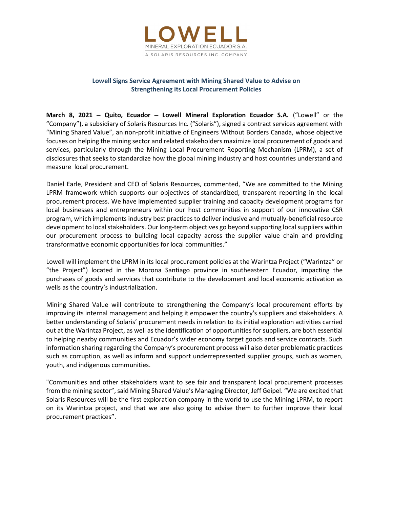

# Lowell Signs Service Agreement with Mining Shared Value to Advise on Strengthening its Local Procurement Policies

March 8, 2021 – Quito, Ecuador – Lowell Mineral Exploration Ecuador S.A. ("Lowell" or the "Company"), a subsidiary of Solaris Resources Inc. ("Solaris"), signed a contract services agreement with "Mining Shared Value", an non-profit initiative of Engineers Without Borders Canada, whose objective focuses on helping the mining sector and related stakeholders maximize local procurement of goods and services, particularly through the Mining Local Procurement Reporting Mechanism (LPRM), a set of disclosures that seeks to standardize how the global mining industry and host countries understand and measure local procurement.

Daniel Earle, President and CEO of Solaris Resources, commented, "We are committed to the Mining LPRM framework which supports our objectives of standardized, transparent reporting in the local procurement process. We have implemented supplier training and capacity development programs for local businesses and entrepreneurs within our host communities in support of our innovative CSR program, which implements industry best practices to deliver inclusive and mutually-beneficial resource development to local stakeholders. Our long-term objectives go beyond supporting local suppliers within our procurement process to building local capacity across the supplier value chain and providing transformative economic opportunities for local communities."

Lowell will implement the LPRM in its local procurement policies at the Warintza Project ("Warintza" or "the Project") located in the Morona Santiago province in southeastern Ecuador, impacting the purchases of goods and services that contribute to the development and local economic activation as wells as the country's industrialization.

Mining Shared Value will contribute to strengthening the Company's local procurement efforts by improving its internal management and helping it empower the country's suppliers and stakeholders. A better understanding of Solaris' procurement needs in relation to its initial exploration activities carried out at the Warintza Project, as well as the identification of opportunities for suppliers, are both essential to helping nearby communities and Ecuador's wider economy target goods and service contracts. Such information sharing regarding the Company's procurement process will also deter problematic practices such as corruption, as well as inform and support underrepresented supplier groups, such as women, youth, and indigenous communities.

"Communities and other stakeholders want to see fair and transparent local procurement processes from the mining sector", said Mining Shared Value's Managing Director, Jeff Geipel. "We are excited that Solaris Resources will be the first exploration company in the world to use the Mining LPRM, to report on its Warintza project, and that we are also going to advise them to further improve their local procurement practices".